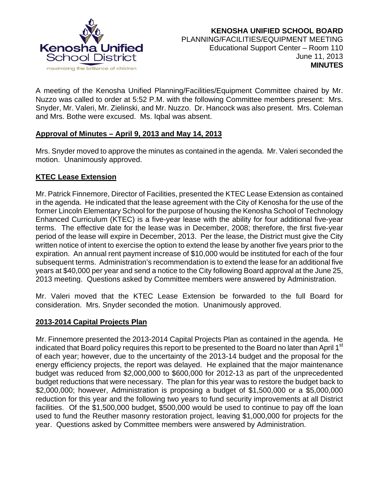

A meeting of the Kenosha Unified Planning/Facilities/Equipment Committee chaired by Mr. Nuzzo was called to order at 5:52 P.M. with the following Committee members present: Mrs. Snyder, Mr. Valeri, Mr. Zielinski, and Mr. Nuzzo. Dr. Hancock was also present. Mrs. Coleman and Mrs. Bothe were excused. Ms. Iqbal was absent.

# **Approval of Minutes – April 9, 2013 and May 14, 2013**

Mrs. Snyder moved to approve the minutes as contained in the agenda. Mr. Valeri seconded the motion. Unanimously approved.

# **KTEC Lease Extension**

Mr. Patrick Finnemore, Director of Facilities, presented the KTEC Lease Extension as contained in the agenda. He indicated that the lease agreement with the City of Kenosha for the use of the former Lincoln Elementary School for the purpose of housing the Kenosha School of Technology Enhanced Curriculum (KTEC) is a five-year lease with the ability for four additional five-year terms. The effective date for the lease was in December, 2008; therefore, the first five-year period of the lease will expire in December, 2013. Per the lease, the District must give the City written notice of intent to exercise the option to extend the lease by another five years prior to the expiration. An annual rent payment increase of \$10,000 would be instituted for each of the four subsequent terms. Administration's recommendation is to extend the lease for an additional five years at \$40,000 per year and send a notice to the City following Board approval at the June 25, 2013 meeting. Questions asked by Committee members were answered by Administration.

Mr. Valeri moved that the KTEC Lease Extension be forwarded to the full Board for consideration. Mrs. Snyder seconded the motion. Unanimously approved.

### **2013-2014 Capital Projects Plan**

Mr. Finnemore presented the 2013-2014 Capital Projects Plan as contained in the agenda. He indicated that Board policy requires this report to be presented to the Board no later than April 1<sup>st</sup> of each year; however, due to the uncertainty of the 2013-14 budget and the proposal for the energy efficiency projects, the report was delayed. He explained that the major maintenance budget was reduced from \$2,000,000 to \$600,000 for 2012-13 as part of the unprecedented budget reductions that were necessary. The plan for this year was to restore the budget back to \$2,000,000; however, Administration is proposing a budget of \$1,500,000 or a \$5,000,000 reduction for this year and the following two years to fund security improvements at all District facilities. Of the \$1,500,000 budget, \$500,000 would be used to continue to pay off the loan used to fund the Reuther masonry restoration project, leaving \$1,000,000 for projects for the year. Questions asked by Committee members were answered by Administration.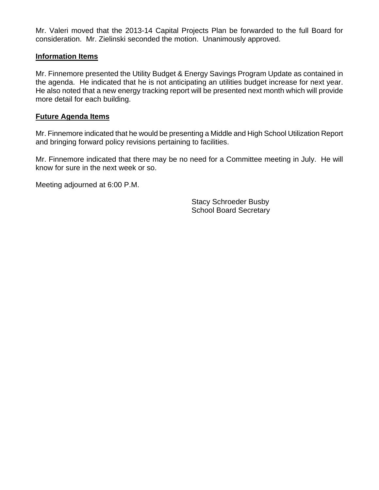Mr. Valeri moved that the 2013-14 Capital Projects Plan be forwarded to the full Board for consideration. Mr. Zielinski seconded the motion. Unanimously approved.

#### **Information Items**

Mr. Finnemore presented the Utility Budget & Energy Savings Program Update as contained in the agenda. He indicated that he is not anticipating an utilities budget increase for next year. He also noted that a new energy tracking report will be presented next month which will provide more detail for each building.

#### **Future Agenda Items**

Mr. Finnemore indicated that he would be presenting a Middle and High School Utilization Report and bringing forward policy revisions pertaining to facilities.

Mr. Finnemore indicated that there may be no need for a Committee meeting in July. He will know for sure in the next week or so.

Meeting adjourned at 6:00 P.M.

 Stacy Schroeder Busby School Board Secretary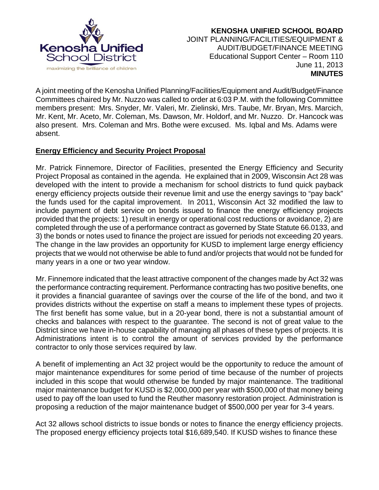

 **KENOSHA UNIFIED SCHOOL BOARD** JOINT PLANNING/FACILITIES/EQUIPMENT & AUDIT/BUDGET/FINANCE MEETING Educational Support Center – Room 110 June 11, 2013  **MINUTES**

A joint meeting of the Kenosha Unified Planning/Facilities/Equipment and Audit/Budget/Finance Committees chaired by Mr. Nuzzo was called to order at 6:03 P.M. with the following Committee members present: Mrs. Snyder, Mr. Valeri, Mr. Zielinski, Mrs. Taube, Mr. Bryan, Mrs. Marcich, Mr. Kent, Mr. Aceto, Mr. Coleman, Ms. Dawson, Mr. Holdorf, and Mr. Nuzzo. Dr. Hancock was also present. Mrs. Coleman and Mrs. Bothe were excused. Ms. Iqbal and Ms. Adams were absent.

# **Energy Efficiency and Security Project Proposal**

Mr. Patrick Finnemore, Director of Facilities, presented the Energy Efficiency and Security Project Proposal as contained in the agenda. He explained that in 2009, Wisconsin Act 28 was developed with the intent to provide a mechanism for school districts to fund quick payback energy efficiency projects outside their revenue limit and use the energy savings to "pay back" the funds used for the capital improvement. In 2011, Wisconsin Act 32 modified the law to include payment of debt service on bonds issued to finance the energy efficiency projects provided that the projects: 1) result in energy or operational cost reductions or avoidance, 2) are completed through the use of a performance contract as governed by State Statute 66.0133, and 3) the bonds or notes used to finance the project are issued for periods not exceeding 20 years. The change in the law provides an opportunity for KUSD to implement large energy efficiency projects that we would not otherwise be able to fund and/or projects that would not be funded for many years in a one or two year window.

Mr. Finnemore indicated that the least attractive component of the changes made by Act 32 was the performance contracting requirement. Performance contracting has two positive benefits, one it provides a financial guarantee of savings over the course of the life of the bond, and two it provides districts without the expertise on staff a means to implement these types of projects. The first benefit has some value, but in a 20-year bond, there is not a substantial amount of checks and balances with respect to the guarantee. The second is not of great value to the District since we have in-house capability of managing all phases of these types of projects. It is Administrations intent is to control the amount of services provided by the performance contractor to only those services required by law.

A benefit of implementing an Act 32 project would be the opportunity to reduce the amount of major maintenance expenditures for some period of time because of the number of projects included in this scope that would otherwise be funded by major maintenance. The traditional major maintenance budget for KUSD is \$2,000,000 per year with \$500,000 of that money being used to pay off the loan used to fund the Reuther masonry restoration project. Administration is proposing a reduction of the major maintenance budget of \$500,000 per year for 3-4 years.

Act 32 allows school districts to issue bonds or notes to finance the energy efficiency projects. The proposed energy efficiency projects total \$16,689,540. If KUSD wishes to finance these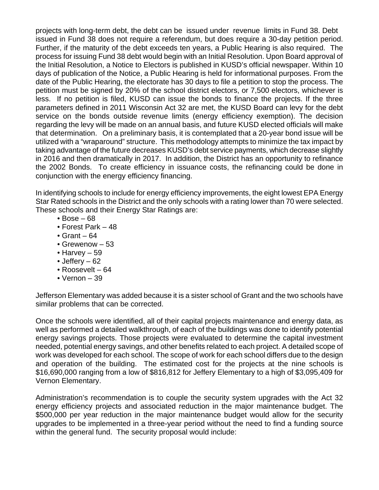projects with long-term debt, the debt can be issued under revenue limits in Fund 38. Debt issued in Fund 38 does not require a referendum, but does require a 30-day petition period. Further, if the maturity of the debt exceeds ten years, a Public Hearing is also required. The process for issuing Fund 38 debt would begin with an Initial Resolution. Upon Board approval of the Initial Resolution, a Notice to Electors is published in KUSD's official newspaper. Within 10 days of publication of the Notice, a Public Hearing is held for informational purposes. From the date of the Public Hearing, the electorate has 30 days to file a petition to stop the process. The petition must be signed by 20% of the school district electors, or 7,500 electors, whichever is less. If no petition is filed, KUSD can issue the bonds to finance the projects. If the three parameters defined in 2011 Wisconsin Act 32 are met, the KUSD Board can levy for the debt service on the bonds outside revenue limits (energy efficiency exemption). The decision regarding the levy will be made on an annual basis, and future KUSD elected officials will make that determination. On a preliminary basis, it is contemplated that a 20-year bond issue will be utilized with a "wraparound" structure. This methodology attempts to minimize the tax impact by taking advantage of the future decreases KUSD's debt service payments, which decrease slightly in 2016 and then dramatically in 2017. In addition, the District has an opportunity to refinance the 2002 Bonds. To create efficiency in issuance costs, the refinancing could be done in conjunction with the energy efficiency financing.

In identifying schools to include for energy efficiency improvements, the eight lowest EPA Energy Star Rated schools in the District and the only schools with a rating lower than 70 were selected. These schools and their Energy Star Ratings are:

- $\cdot$  Bose 68
- Forest Park 48
- $\bullet$  Grant 64
- Grewenow 53
- Harvey 59
- Jeffery 62
- Roosevelt 64
- Vernon 39

Jefferson Elementary was added because it is a sister school of Grant and the two schools have similar problems that can be corrected.

Once the schools were identified, all of their capital projects maintenance and energy data, as well as performed a detailed walkthrough, of each of the buildings was done to identify potential energy savings projects. Those projects were evaluated to determine the capital investment needed, potential energy savings, and other benefits related to each project. A detailed scope of work was developed for each school. The scope of work for each school differs due to the design and operation of the building. The estimated cost for the projects at the nine schools is \$16,690,000 ranging from a low of \$816,812 for Jeffery Elementary to a high of \$3,095,409 for Vernon Elementary.

Administration's recommendation is to couple the security system upgrades with the Act 32 energy efficiency projects and associated reduction in the major maintenance budget. The \$500,000 per year reduction in the major maintenance budget would allow for the security upgrades to be implemented in a three-year period without the need to find a funding source within the general fund. The security proposal would include: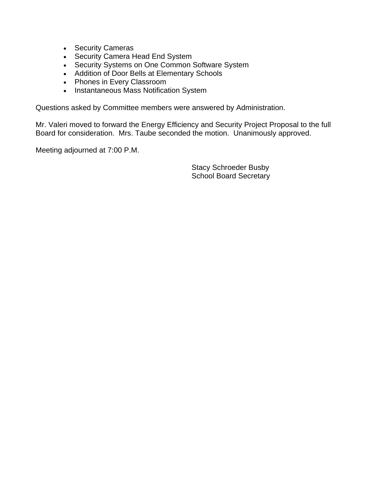- Security Cameras
- Security Camera Head End System
- Security Systems on One Common Software System
- Addition of Door Bells at Elementary Schools
- Phones in Every Classroom
- Instantaneous Mass Notification System

Questions asked by Committee members were answered by Administration.

Mr. Valeri moved to forward the Energy Efficiency and Security Project Proposal to the full Board for consideration. Mrs. Taube seconded the motion. Unanimously approved.

Meeting adjourned at 7:00 P.M.

 Stacy Schroeder Busby School Board Secretary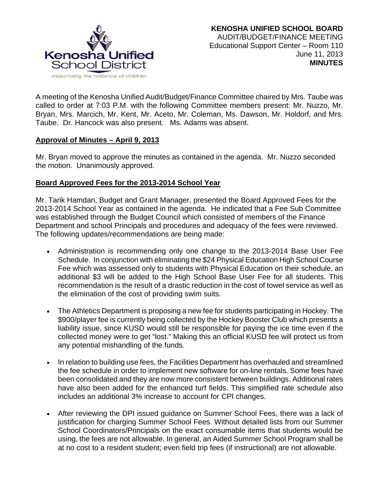

A meeting of the Kenosha Unified Audit/Budget/Finance Committee chaired by Mrs. Taube was called to order at 7:03 P.M. with the following Committee members present: Mr. Nuzzo, Mr. Bryan, Mrs. Marcich, Mr. Kent, Mr. Aceto, Mr. Coleman, Ms. Dawson, Mr. Holdorf, and Mrs. Taube. Dr. Hancock was also present. Ms. Adams was absent.

### **Approval of Minutes – April 9, 2013**

Mr. Bryan moved to approve the minutes as contained in the agenda. Mr. Nuzzo seconded the motion. Unanimously approved.

# **Board Approved Fees for the 2013-2014 School Year**

Mr. Tarik Hamdan, Budget and Grant Manager, presented the Board Approved Fees for the 2013-2014 School Year as contained in the agenda. He indicated that a Fee Sub Committee was established through the Budget Council which consisted of members of the Finance Department and school Principals and procedures and adequacy of the fees were reviewed. The following updates/recommendations are being made:

- Administration is recommending only one change to the 2013-2014 Base User Fee Schedule. In conjunction with eliminating the \$24 Physical Education High School Course Fee which was assessed only to students with Physical Education on their schedule, an additional \$3 will be added to the High School Base User Fee for all students. This recommendation is the result of a drastic reduction in the cost of towel service as well as the elimination of the cost of providing swim suits.
- The Athletics Department is proposing a new fee for students participating in Hockey. The \$900/player fee is currently being collected by the Hockey Booster Club which presents a liability issue, since KUSD would still be responsible for paying the ice time even if the collected money were to get "lost." Making this an official KUSD fee will protect us from any potential mishandling of the funds.
- In relation to building use fees, the Facilities Department has overhauled and streamlined the fee schedule in order to implement new software for on-line rentals. Some fees have been consolidated and they are now more consistent between buildings. Additional rates have also been added for the enhanced turf fields. This simplified rate schedule also includes an additional 3% increase to account for CPI changes.
- After reviewing the DPI issued guidance on Summer School Fees, there was a lack of justification for charging Summer School Fees. Without detailed lists from our Summer School Coordinators/Principals on the exact consumable items that students would be using, the fees are not allowable. In general, an Aided Summer School Program shall be at no cost to a resident student; even field trip fees (if instructional) are not allowable.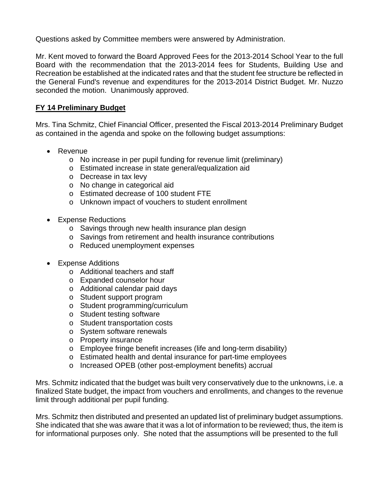Questions asked by Committee members were answered by Administration.

Mr. Kent moved to forward the Board Approved Fees for the 2013-2014 School Year to the full Board with the recommendation that the 2013-2014 fees for Students, Building Use and Recreation be established at the indicated rates and that the student fee structure be reflected in the General Fund's revenue and expenditures for the 2013-2014 District Budget. Mr. Nuzzo seconded the motion. Unanimously approved.

# **FY 14 Preliminary Budget**

Mrs. Tina Schmitz, Chief Financial Officer, presented the Fiscal 2013-2014 Preliminary Budget as contained in the agenda and spoke on the following budget assumptions:

- Revenue
	- o No increase in per pupil funding for revenue limit (preliminary)
	- o Estimated increase in state general/equalization aid
	- o Decrease in tax levy
	- o No change in categorical aid
	- o Estimated decrease of 100 student FTE
	- o Unknown impact of vouchers to student enrollment
- Expense Reductions
	- o Savings through new health insurance plan design
	- o Savings from retirement and health insurance contributions
	- o Reduced unemployment expenses
- Expense Additions
	- o Additional teachers and staff
	- o Expanded counselor hour
	- o Additional calendar paid days
	- o Student support program
	- o Student programming/curriculum
	- o Student testing software
	- o Student transportation costs
	- o System software renewals
	- o Property insurance
	- o Employee fringe benefit increases (life and long-term disability)
	- o Estimated health and dental insurance for part-time employees
	- o Increased OPEB (other post-employment benefits) accrual

Mrs. Schmitz indicated that the budget was built very conservatively due to the unknowns, i.e. a finalized State budget, the impact from vouchers and enrollments, and changes to the revenue limit through additional per pupil funding.

Mrs. Schmitz then distributed and presented an updated list of preliminary budget assumptions. She indicated that she was aware that it was a lot of information to be reviewed; thus, the item is for informational purposes only. She noted that the assumptions will be presented to the full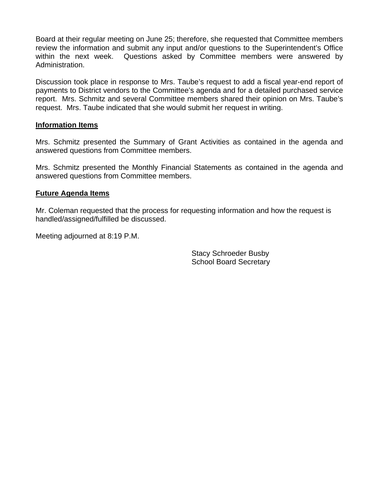Board at their regular meeting on June 25; therefore, she requested that Committee members review the information and submit any input and/or questions to the Superintendent's Office within the next week. Questions asked by Committee members were answered by Administration.

Discussion took place in response to Mrs. Taube's request to add a fiscal year-end report of payments to District vendors to the Committee's agenda and for a detailed purchased service report. Mrs. Schmitz and several Committee members shared their opinion on Mrs. Taube's request. Mrs. Taube indicated that she would submit her request in writing.

#### **Information Items**

Mrs. Schmitz presented the Summary of Grant Activities as contained in the agenda and answered questions from Committee members.

Mrs. Schmitz presented the Monthly Financial Statements as contained in the agenda and answered questions from Committee members.

#### **Future Agenda Items**

Mr. Coleman requested that the process for requesting information and how the request is handled/assigned/fulfilled be discussed.

Meeting adjourned at 8:19 P.M.

Stacy Schroeder Busby School Board Secretary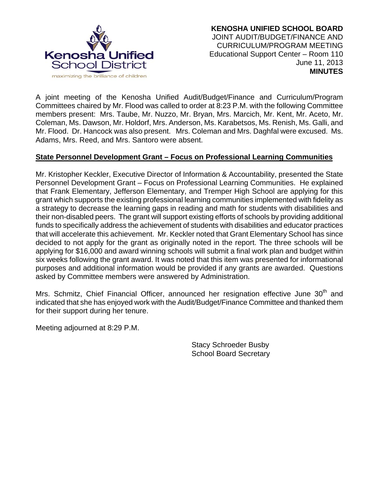

A joint meeting of the Kenosha Unified Audit/Budget/Finance and Curriculum/Program Committees chaired by Mr. Flood was called to order at 8:23 P.M. with the following Committee members present: Mrs. Taube, Mr. Nuzzo, Mr. Bryan, Mrs. Marcich, Mr. Kent, Mr. Aceto, Mr. Coleman, Ms. Dawson, Mr. Holdorf, Mrs. Anderson, Ms. Karabetsos, Ms. Renish, Ms. Galli, and Mr. Flood. Dr. Hancock was also present. Mrs. Coleman and Mrs. Daghfal were excused. Ms. Adams, Mrs. Reed, and Mrs. Santoro were absent.

### **State Personnel Development Grant – Focus on Professional Learning Communities**

Mr. Kristopher Keckler, Executive Director of Information & Accountability, presented the State Personnel Development Grant – Focus on Professional Learning Communities. He explained that Frank Elementary, Jefferson Elementary, and Tremper High School are applying for this grant which supports the existing professional learning communities implemented with fidelity as a strategy to decrease the learning gaps in reading and math for students with disabilities and their non-disabled peers. The grant will support existing efforts of schools by providing additional funds to specifically address the achievement of students with disabilities and educator practices that will accelerate this achievement. Mr. Keckler noted that Grant Elementary School has since decided to not apply for the grant as originally noted in the report. The three schools will be applying for \$16,000 and award winning schools will submit a final work plan and budget within six weeks following the grant award. It was noted that this item was presented for informational purposes and additional information would be provided if any grants are awarded. Questions asked by Committee members were answered by Administration.

Mrs. Schmitz, Chief Financial Officer, announced her resignation effective June  $30<sup>th</sup>$  and indicated that she has enjoyed work with the Audit/Budget/Finance Committee and thanked them for their support during her tenure.

Meeting adjourned at 8:29 P.M.

Stacy Schroeder Busby School Board Secretary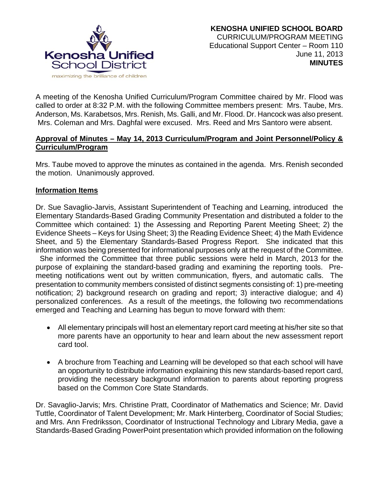

A meeting of the Kenosha Unified Curriculum/Program Committee chaired by Mr. Flood was called to order at 8:32 P.M. with the following Committee members present: Mrs. Taube, Mrs. Anderson, Ms. Karabetsos, Mrs. Renish, Ms. Galli, and Mr. Flood. Dr. Hancock was also present. Mrs. Coleman and Mrs. Daghfal were excused. Mrs. Reed and Mrs Santoro were absent.

# **Approval of Minutes – May 14, 2013 Curriculum/Program and Joint Personnel/Policy & Curriculum/Program**

Mrs. Taube moved to approve the minutes as contained in the agenda. Mrs. Renish seconded the motion. Unanimously approved.

### **Information Items**

Dr. Sue Savaglio-Jarvis, Assistant Superintendent of Teaching and Learning, introduced the Elementary Standards-Based Grading Community Presentation and distributed a folder to the Committee which contained: 1) the Assessing and Reporting Parent Meeting Sheet; 2) the Evidence Sheets – Keys for Using Sheet; 3) the Reading Evidence Sheet; 4) the Math Evidence Sheet, and 5) the Elementary Standards-Based Progress Report. She indicated that this information was being presented for informational purposes only at the request of the Committee.

 She informed the Committee that three public sessions were held in March, 2013 for the purpose of explaining the standard-based grading and examining the reporting tools. Premeeting notifications went out by written communication, flyers, and automatic calls. The presentation to community members consisted of distinct segments consisting of: 1) pre-meeting notification; 2) background research on grading and report; 3) interactive dialogue; and 4) personalized conferences. As a result of the meetings, the following two recommendations emerged and Teaching and Learning has begun to move forward with them:

- All elementary principals will host an elementary report card meeting at his/her site so that more parents have an opportunity to hear and learn about the new assessment report card tool.
- A brochure from Teaching and Learning will be developed so that each school will have an opportunity to distribute information explaining this new standards-based report card, providing the necessary background information to parents about reporting progress based on the Common Core State Standards.

Dr. Savaglio-Jarvis; Mrs. Christine Pratt, Coordinator of Mathematics and Science; Mr. David Tuttle, Coordinator of Talent Development; Mr. Mark Hinterberg, Coordinator of Social Studies; and Mrs. Ann Fredriksson, Coordinator of Instructional Technology and Library Media, gave a Standards-Based Grading PowerPoint presentation which provided information on the following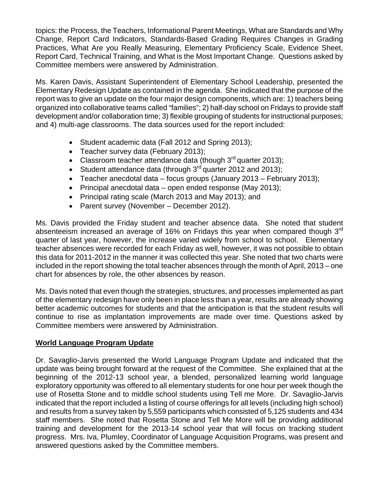topics: the Process, the Teachers, Informational Parent Meetings, What are Standards and Why Change, Report Card Indicators, Standards-Based Grading Requires Changes in Grading Practices, What Are you Really Measuring, Elementary Proficiency Scale, Evidence Sheet, Report Card, Technical Training, and What is the Most Important Change. Questions asked by Committee members were answered by Administration.

Ms. Karen Davis, Assistant Superintendent of Elementary School Leadership, presented the Elementary Redesign Update as contained in the agenda. She indicated that the purpose of the report was to give an update on the four major design components, which are: 1) teachers being organized into collaborative teams called "families"; 2) half-day school on Fridays to provide staff development and/or collaboration time; 3) flexible grouping of students for instructional purposes; and 4) multi-age classrooms. The data sources used for the report included:

- Student academic data (Fall 2012 and Spring 2013);
- Teacher survey data (February 2013);
- Classroom teacher attendance data (though  $3<sup>rd</sup>$  quarter 2013);
- Student attendance data (through  $3^{rd}$  quarter 2012 and 2013);
- Teacher anecdotal data focus groups (January 2013 February 2013);
- Principal anecdotal data open ended response (May 2013);
- Principal rating scale (March 2013 and May 2013); and
- Parent survey (November December 2012).

Ms. Davis provided the Friday student and teacher absence data. She noted that student absenteeism increased an average of 16% on Fridays this year when compared though 3<sup>rd</sup> quarter of last year, however, the increase varied widely from school to school. Elementary teacher absences were recorded for each Friday as well, however, it was not possible to obtain this data for 2011-2012 in the manner it was collected this year. She noted that two charts were included in the report showing the total teacher absences through the month of April, 2013 – one chart for absences by role, the other absences by reason.

Ms. Davis noted that even though the strategies, structures, and processes implemented as part of the elementary redesign have only been in place less than a year, results are already showing better academic outcomes for students and that the anticipation is that the student results will continue to rise as implantation improvements are made over time. Questions asked by Committee members were answered by Administration.

# **World Language Program Update**

Dr. Savaglio-Jarvis presented the World Language Program Update and indicated that the update was being brought forward at the request of the Committee. She explained that at the beginning of the 2012-13 school year, a blended, personalized learning world language exploratory opportunity was offered to all elementary students for one hour per week though the use of Rosetta Stone and to middle school students using Tell me More. Dr. Savaglio-Jarvis indicated that the report included a listing of course offerings for all levels (including high school) and results from a survey taken by 5,559 participants which consisted of 5,125 students and 434 staff members. She noted that Rosetta Stone and Tell Me More will be providing additional training and development for the 2013-14 school year that will focus on tracking student progress. Mrs. Iva, Plumley, Coordinator of Language Acquisition Programs, was present and answered questions asked by the Committee members.